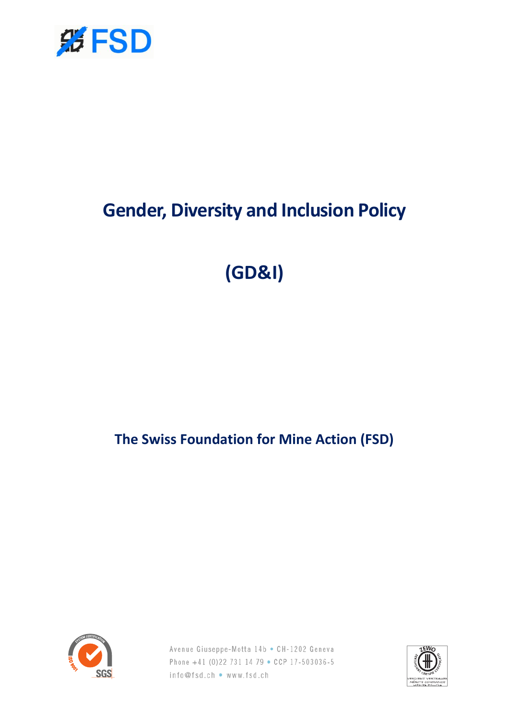

# **Gender, Diversity and Inclusion Policy**

**(GD&I)**

**The Swiss Foundation for Mine Action (FSD)**



Avenue Giuseppe-Motta 14b • CH-1202 Geneva Phone +41 (0)22 731 14 79 . CCP 17-503036-5 info@fsd.ch • www.fsd.ch

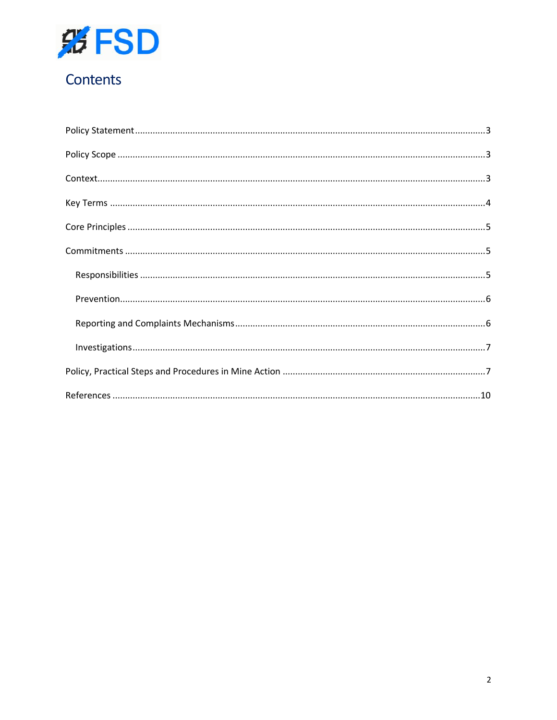

## Contents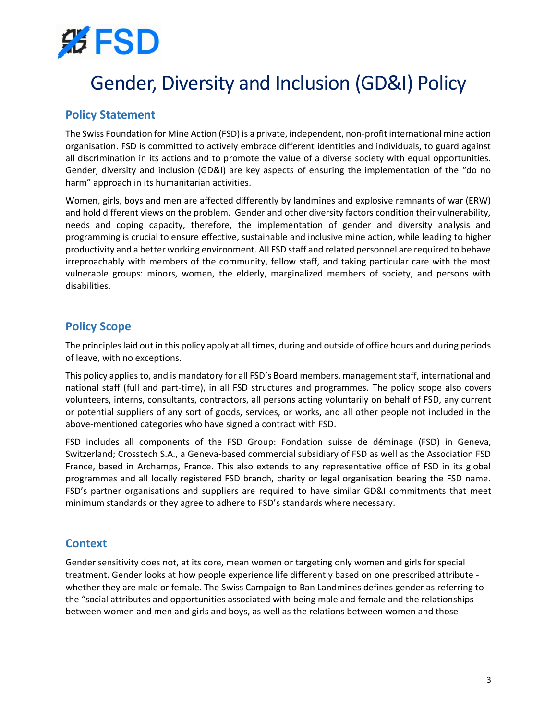

## Gender, Diversity and Inclusion (GD&I) Policy

## <span id="page-2-0"></span>**Policy Statement**

The Swiss Foundation for Mine Action (FSD) is a private, independent, non-profit international mine action organisation. FSD is committed to actively embrace different identities and individuals, to guard against all discrimination in its actions and to promote the value of a diverse society with equal opportunities. Gender, diversity and inclusion (GD&I) are key aspects of ensuring the implementation of the "do no harm" approach in its humanitarian activities.

Women, girls, boys and men are affected differently by landmines and explosive remnants of war (ERW) and hold different views on the problem. Gender and other diversity factors condition their vulnerability, needs and coping capacity, therefore, the implementation of gender and diversity analysis and programming is crucial to ensure effective, sustainable and inclusive mine action, while leading to higher productivity and a better working environment. All FSD staff and related personnel are required to behave irreproachably with members of the community, fellow staff, and taking particular care with the most vulnerable groups: minors, women, the elderly, marginalized members of society, and persons with disabilities.

## <span id="page-2-1"></span>**Policy Scope**

The principles laid out in this policy apply at all times, during and outside of office hours and during periods of leave, with no exceptions.

This policy applies to, and is mandatory for all FSD's Board members, management staff, international and national staff (full and part-time), in all FSD structures and programmes. The policy scope also covers volunteers, interns, consultants, contractors, all persons acting voluntarily on behalf of FSD, any current or potential suppliers of any sort of goods, services, or works, and all other people not included in the above-mentioned categories who have signed a contract with FSD.

FSD includes all components of the FSD Group: Fondation suisse de déminage (FSD) in Geneva, Switzerland; Crosstech S.A., a Geneva-based commercial subsidiary of FSD as well as the Association FSD France, based in Archamps, France. This also extends to any representative office of FSD in its global programmes and all locally registered FSD branch, charity or legal organisation bearing the FSD name. FSD's partner organisations and suppliers are required to have similar GD&I commitments that meet minimum standards or they agree to adhere to FSD's standards where necessary.

### <span id="page-2-2"></span>**Context**

Gender sensitivity does not, at its core, mean women or targeting only women and girls for special treatment. Gender looks at how people experience life differently based on one prescribed attribute whether they are male or female. The Swiss Campaign to Ban Landmines defines gender as referring to the "social attributes and opportunities associated with being male and female and the relationships between women and men and girls and boys, as well as the relations between women and those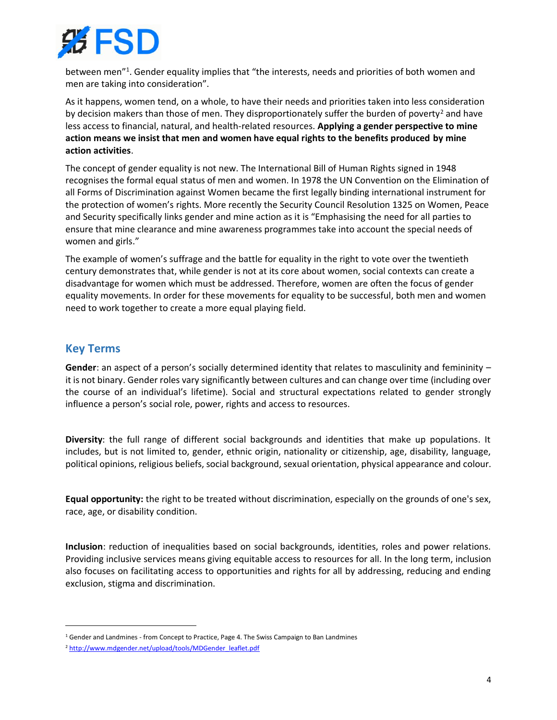

between men<sup>"1</sup>. Gender equality implies that "the interests, needs and priorities of both women and men are taking into consideration".

As it happens, women tend, on a whole, to have their needs and priorities taken into less consideration by decision makers than those of men. They disproportionately suffer the burden of poverty<sup>2</sup> and have less access to financial, natural, and health-related resources. **Applying a gender perspective to mine action means we insist that men and women have equal rights to the benefits produced by mine action activities**.

The concept of gender equality is not new. The International Bill of Human Rights signed in 1948 recognises the formal equal status of men and women. In 1978 the UN Convention on the Elimination of all Forms of Discrimination against Women became the first legally binding international instrument for the protection of women's rights. More recently the Security Council Resolution 1325 on Women, Peace and Security specifically links gender and mine action as it is "Emphasising the need for all parties to ensure that mine clearance and mine awareness programmes take into account the special needs of women and girls."

The example of women's suffrage and the battle for equality in the right to vote over the twentieth century demonstrates that, while gender is not at its core about women, social contexts can create a disadvantage for women which must be addressed. Therefore, women are often the focus of gender equality movements. In order for these movements for equality to be successful, both men and women need to work together to create a more equal playing field.

## <span id="page-3-0"></span>**Key Terms**

**Gender**: an aspect of a person's socially determined identity that relates to masculinity and femininity – it is not binary. Gender roles vary significantly between cultures and can change over time (including over the course of an individual's lifetime). Social and structural expectations related to gender strongly influence a person's social role, power, rights and access to resources.

**Diversity**: the full range of different social backgrounds and identities that make up populations. It includes, but is not limited to, gender, ethnic origin, nationality or citizenship, age, disability, language, political opinions, religious beliefs, social background, sexual orientation, physical appearance and colour.

**Equal opportunity:** the right to be treated without discrimination, especially on the grounds of one's sex, race, age, or disability condition.

**Inclusion**: reduction of inequalities based on social backgrounds, identities, roles and power relations. Providing inclusive services means giving equitable access to resources for all. In the long term, inclusion also focuses on facilitating access to opportunities and rights for all by addressing, reducing and ending exclusion, stigma and discrimination.

<sup>1</sup> Gender and Landmines - from Concept to Practice, Page 4. The Swiss Campaign to Ban Landmines

<sup>&</sup>lt;sup>2</sup> [http://www.mdgender.net/upload/tools/MDGender\\_leaflet.pdf](http://www.mdgender.net/upload/tools/MDGender_leaflet.pdf)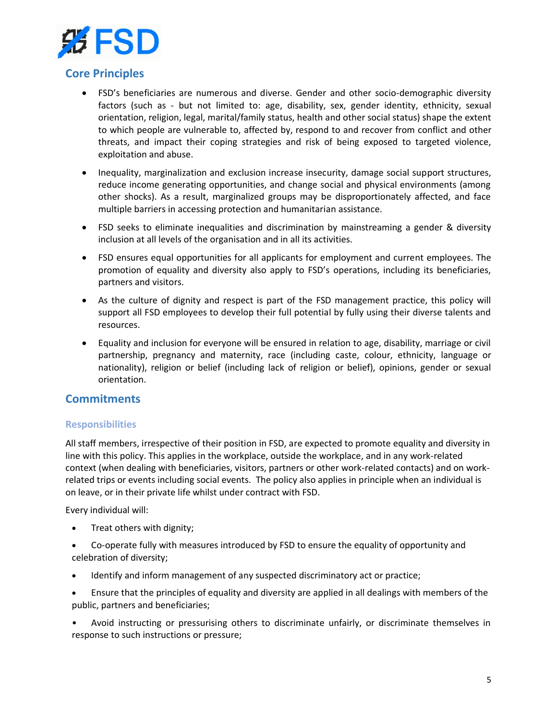

## <span id="page-4-0"></span>**Core Principles**

- FSD's beneficiaries are numerous and diverse. Gender and other socio-demographic diversity factors (such as - but not limited to: age, disability, sex, gender identity, ethnicity, sexual orientation, religion, legal, marital/family status, health and other social status) shape the extent to which people are vulnerable to, affected by, respond to and recover from conflict and other threats, and impact their coping strategies and risk of being exposed to targeted violence, exploitation and abuse.
- Inequality, marginalization and exclusion increase insecurity, damage social support structures, reduce income generating opportunities, and change social and physical environments (among other shocks). As a result, marginalized groups may be disproportionately affected, and face multiple barriers in accessing protection and humanitarian assistance.
- FSD seeks to eliminate inequalities and discrimination by mainstreaming a gender & diversity inclusion at all levels of the organisation and in all its activities.
- FSD ensures equal opportunities for all applicants for employment and current employees. The promotion of equality and diversity also apply to FSD's operations, including its beneficiaries, partners and visitors.
- As the culture of dignity and respect is part of the FSD management practice, this policy will support all FSD employees to develop their full potential by fully using their diverse talents and resources.
- Equality and inclusion for everyone will be ensured in relation to age, disability, marriage or civil partnership, pregnancy and maternity, race (including caste, colour, ethnicity, language or nationality), religion or belief (including lack of religion or belief), opinions, gender or sexual orientation.

### <span id="page-4-1"></span>**Commitments**

#### <span id="page-4-2"></span>**Responsibilities**

All staff members, irrespective of their position in FSD, are expected to promote equality and diversity in line with this policy. This applies in the workplace, outside the workplace, and in any work-related context (when dealing with beneficiaries, visitors, partners or other work-related contacts) and on workrelated trips or events including social events. The policy also applies in principle when an individual is on leave, or in their private life whilst under contract with FSD.

Every individual will:

- Treat others with dignity;
- Co-operate fully with measures introduced by FSD to ensure the equality of opportunity and celebration of diversity;
- Identify and inform management of any suspected discriminatory act or practice;
- Ensure that the principles of equality and diversity are applied in all dealings with members of the public, partners and beneficiaries;

• Avoid instructing or pressurising others to discriminate unfairly, or discriminate themselves in response to such instructions or pressure;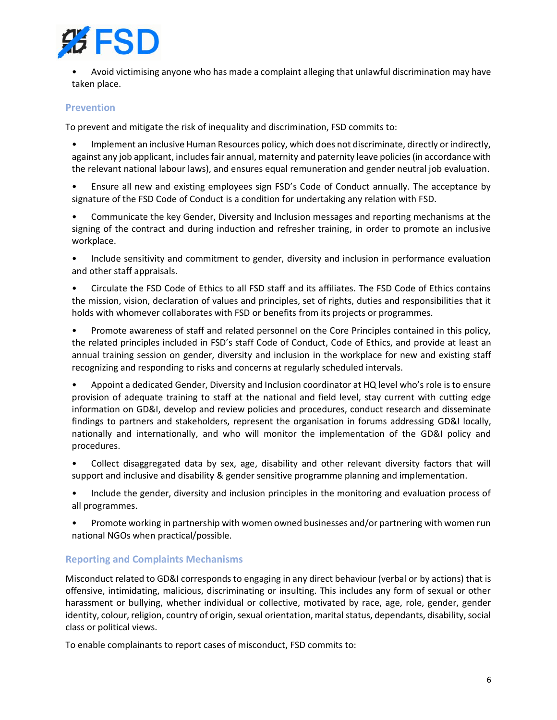

• Avoid victimising anyone who has made a complaint alleging that unlawful discrimination may have taken place.

#### <span id="page-5-0"></span>**Prevention**

To prevent and mitigate the risk of inequality and discrimination, FSD commits to:

• Implement an inclusive Human Resources policy, which does not discriminate, directly or indirectly, against any job applicant, includes fair annual, maternity and paternity leave policies(in accordance with the relevant national labour laws), and ensures equal remuneration and gender neutral job evaluation.

• Ensure all new and existing employees sign FSD's Code of Conduct annually. The acceptance by signature of the FSD Code of Conduct is a condition for undertaking any relation with FSD.

• Communicate the key Gender, Diversity and Inclusion messages and reporting mechanisms at the signing of the contract and during induction and refresher training, in order to promote an inclusive workplace.

• Include sensitivity and commitment to gender, diversity and inclusion in performance evaluation and other staff appraisals.

• Circulate the FSD Code of Ethics to all FSD staff and its affiliates. The FSD Code of Ethics contains the mission, vision, declaration of values and principles, set of rights, duties and responsibilities that it holds with whomever collaborates with FSD or benefits from its projects or programmes.

• Promote awareness of staff and related personnel on the Core Principles contained in this policy, the related principles included in FSD's staff Code of Conduct, Code of Ethics, and provide at least an annual training session on gender, diversity and inclusion in the workplace for new and existing staff recognizing and responding to risks and concerns at regularly scheduled intervals.

• Appoint a dedicated Gender, Diversity and Inclusion coordinator at HQ level who's role is to ensure provision of adequate training to staff at the national and field level, stay current with cutting edge information on GD&I, develop and review policies and procedures, conduct research and disseminate findings to partners and stakeholders, represent the organisation in forums addressing GD&I locally, nationally and internationally, and who will monitor the implementation of the GD&I policy and procedures.

• Collect disaggregated data by sex, age, disability and other relevant diversity factors that will support and inclusive and disability & gender sensitive programme planning and implementation.

• Include the gender, diversity and inclusion principles in the monitoring and evaluation process of all programmes.

• Promote working in partnership with women owned businesses and/or partnering with women run national NGOs when practical/possible.

#### <span id="page-5-1"></span>**Reporting and Complaints Mechanisms**

Misconduct related to GD&I corresponds to engaging in any direct behaviour (verbal or by actions) that is offensive, intimidating, malicious, discriminating or insulting. This includes any form of sexual or other harassment or bullying, whether individual or collective, motivated by race, age, role, gender, gender identity, colour, religion, country of origin, sexual orientation, marital status, dependants, disability, social class or political views.

To enable complainants to report cases of misconduct, FSD commits to: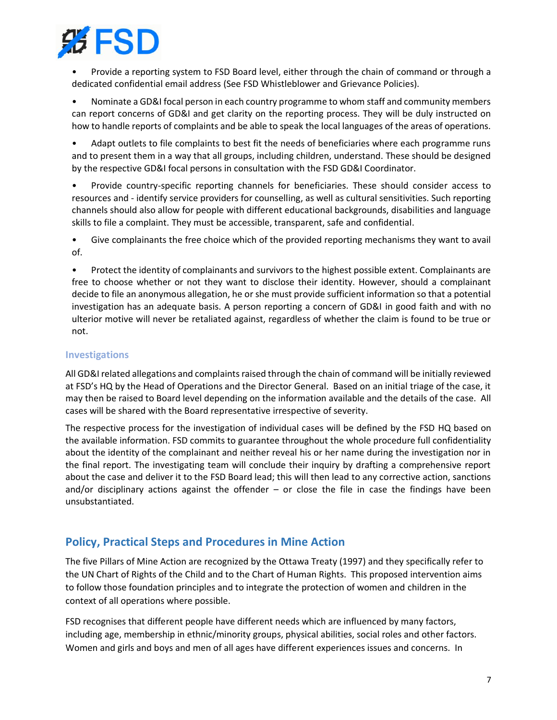

• Provide a reporting system to FSD Board level, either through the chain of command or through a dedicated confidential email address (See FSD Whistleblower and Grievance Policies).

• Nominate a GD&I focal person in each country programme to whom staff and community members can report concerns of GD&I and get clarity on the reporting process. They will be duly instructed on how to handle reports of complaints and be able to speak the local languages of the areas of operations.

• Adapt outlets to file complaints to best fit the needs of beneficiaries where each programme runs and to present them in a way that all groups, including children, understand. These should be designed by the respective GD&I focal persons in consultation with the FSD GD&I Coordinator.

• Provide country-specific reporting channels for beneficiaries. These should consider access to resources and - identify service providers for counselling, as well as cultural sensitivities. Such reporting channels should also allow for people with different educational backgrounds, disabilities and language skills to file a complaint. They must be accessible, transparent, safe and confidential.

• Give complainants the free choice which of the provided reporting mechanisms they want to avail of.

• Protect the identity of complainants and survivors to the highest possible extent. Complainants are free to choose whether or not they want to disclose their identity. However, should a complainant decide to file an anonymous allegation, he or she must provide sufficient information so that a potential investigation has an adequate basis. A person reporting a concern of GD&I in good faith and with no ulterior motive will never be retaliated against, regardless of whether the claim is found to be true or not.

#### <span id="page-6-0"></span>**Investigations**

All GD&I related allegations and complaints raised through the chain of command will be initially reviewed at FSD's HQ by the Head of Operations and the Director General. Based on an initial triage of the case, it may then be raised to Board level depending on the information available and the details of the case. All cases will be shared with the Board representative irrespective of severity.

The respective process for the investigation of individual cases will be defined by the FSD HQ based on the available information. FSD commits to guarantee throughout the whole procedure full confidentiality about the identity of the complainant and neither reveal his or her name during the investigation nor in the final report. The investigating team will conclude their inquiry by drafting a comprehensive report about the case and deliver it to the FSD Board lead; this will then lead to any corrective action, sanctions and/or disciplinary actions against the offender  $-$  or close the file in case the findings have been unsubstantiated.

## <span id="page-6-1"></span>**Policy, Practical Steps and Procedures in Mine Action**

The five Pillars of Mine Action are recognized by the Ottawa Treaty (1997) and they specifically refer to the UN Chart of Rights of the Child and to the Chart of Human Rights. This proposed intervention aims to follow those foundation principles and to integrate the protection of women and children in the context of all operations where possible.

FSD recognises that different people have different needs which are influenced by many factors, including age, membership in ethnic/minority groups, physical abilities, social roles and other factors. Women and girls and boys and men of all ages have different experiences issues and concerns. In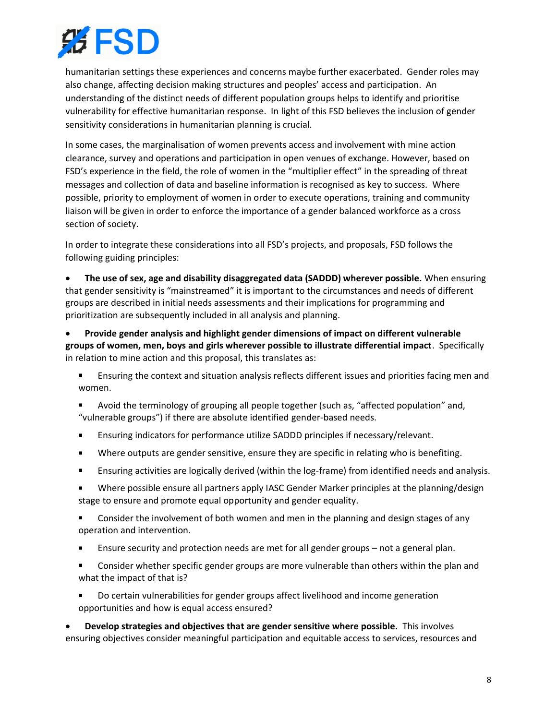

humanitarian settings these experiences and concerns maybe further exacerbated. Gender roles may also change, affecting decision making structures and peoples' access and participation. An understanding of the distinct needs of different population groups helps to identify and prioritise vulnerability for effective humanitarian response. In light of this FSD believes the inclusion of gender sensitivity considerations in humanitarian planning is crucial.

In some cases, the marginalisation of women prevents access and involvement with mine action clearance, survey and operations and participation in open venues of exchange. However, based on FSD's experience in the field, the role of women in the "multiplier effect" in the spreading of threat messages and collection of data and baseline information is recognised as key to success. Where possible, priority to employment of women in order to execute operations, training and community liaison will be given in order to enforce the importance of a gender balanced workforce as a cross section of society.

In order to integrate these considerations into all FSD's projects, and proposals, FSD follows the following guiding principles:

• **The use of sex, age and disability disaggregated data (SADDD) wherever possible.** When ensuring that gender sensitivity is "mainstreamed" it is important to the circumstances and needs of different groups are described in initial needs assessments and their implications for programming and prioritization are subsequently included in all analysis and planning.

• **Provide gender analysis and highlight gender dimensions of impact on different vulnerable groups of women, men, boys and girls wherever possible to illustrate differential impact**. Specifically in relation to mine action and this proposal, this translates as:

- Ensuring the context and situation analysis reflects different issues and priorities facing men and women.
- Avoid the terminology of grouping all people together (such as, "affected population" and, "vulnerable groups") if there are absolute identified gender-based needs.
- Ensuring indicators for performance utilize SADDD principles if necessary/relevant.
- Where outputs are gender sensitive, ensure they are specific in relating who is benefiting.  $\blacksquare$
- $\blacksquare$ Ensuring activities are logically derived (within the log-frame) from identified needs and analysis.
- Where possible ensure all partners apply IASC Gender Marker principles at the planning/design stage to ensure and promote equal opportunity and gender equality.
- Consider the involvement of both women and men in the planning and design stages of any operation and intervention.
- Ensure security and protection needs are met for all gender groups not a general plan.
- Consider whether specific gender groups are more vulnerable than others within the plan and what the impact of that is?
- Do certain vulnerabilities for gender groups affect livelihood and income generation opportunities and how is equal access ensured?

• **Develop strategies and objectives that are gender sensitive where possible.** This involves ensuring objectives consider meaningful participation and equitable access to services, resources and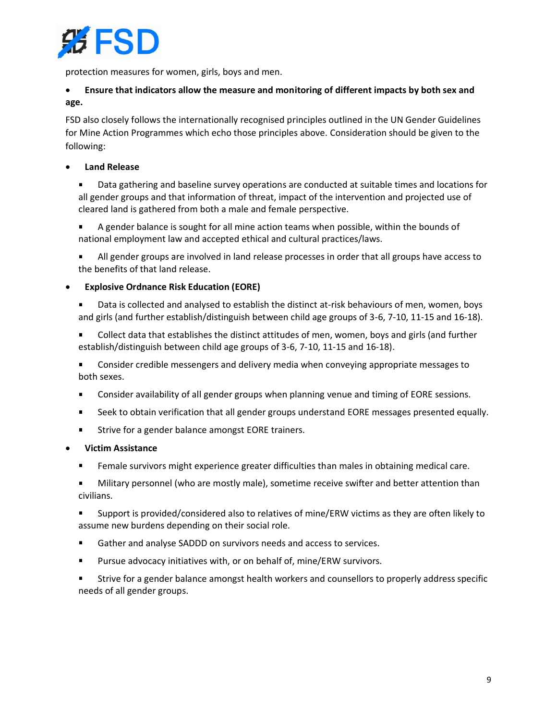

protection measures for women, girls, boys and men.

## • **Ensure that indicators allow the measure and monitoring of different impacts by both sex and age.**

FSD also closely follows the internationally recognised principles outlined in the UN Gender Guidelines for Mine Action Programmes which echo those principles above. Consideration should be given to the following:

#### • **Land Release**

 $\blacksquare$ Data gathering and baseline survey operations are conducted at suitable times and locations for all gender groups and that information of threat, impact of the intervention and projected use of cleared land is gathered from both a male and female perspective.

A gender balance is sought for all mine action teams when possible, within the bounds of national employment law and accepted ethical and cultural practices/laws.

All gender groups are involved in land release processes in order that all groups have access to the benefits of that land release.

#### • **Explosive Ordnance Risk Education (EORE)**

- Data is collected and analysed to establish the distinct at-risk behaviours of men, women, boys and girls (and further establish/distinguish between child age groups of 3-6, 7-10, 11-15 and 16-18).
- Collect data that establishes the distinct attitudes of men, women, boys and girls (and further establish/distinguish between child age groups of 3-6, 7-10, 11-15 and 16-18).

Consider credible messengers and delivery media when conveying appropriate messages to both sexes.

- Consider availability of all gender groups when planning venue and timing of EORE sessions.
- Seek to obtain verification that all gender groups understand EORE messages presented equally.  $\blacksquare$
- Strive for a gender balance amongst EORE trainers.
- **Victim Assistance**
	- Female survivors might experience greater difficulties than males in obtaining medical care.
	- Military personnel (who are mostly male), sometime receive swifter and better attention than civilians.

Support is provided/considered also to relatives of mine/ERW victims as they are often likely to assume new burdens depending on their social role.

- Gather and analyse SADDD on survivors needs and access to services.  $\blacksquare$
- Pursue advocacy initiatives with, or on behalf of, mine/ERW survivors.

Strive for a gender balance amongst health workers and counsellors to properly address specific needs of all gender groups.